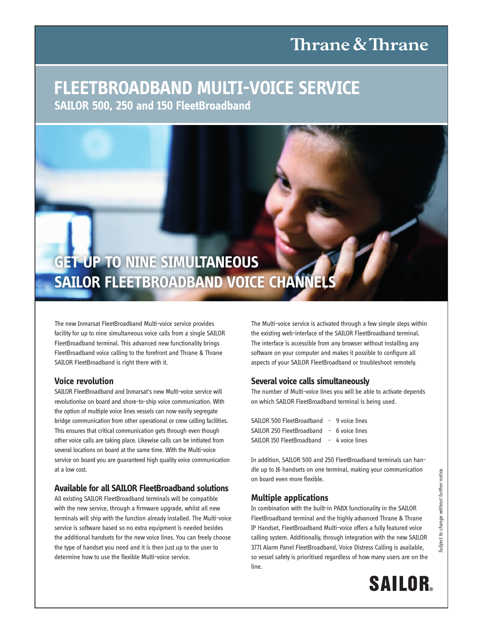# Thrane & Thrane

### **FleetBroadBand Multi-Voice SerVice Sailor 500, 250 and 150 FleetBroadband**



The new Inmarsat FleetBroadband Multi-voice service provides facility for up to nine simultaneous voice calls from a single SAILOR FleetBroadband terminal. This advanced new functionality brings FleetBroadband voice calling to the forefront and Thrane & Thrane SAILOR FleetBroadband is right there with it.

### **Voice revolution**

SAILOR FleetBroadband and Inmarsat's new Multi-voice service will revolutionise on board and shore-to-ship voice communication. With the option of multiple voice lines vessels can now easily segregate bridge communication from other operational or crew calling facilities. This ensures that critical communication gets through even though other voice calls are taking place. Likewise calls can be initiated from several locations on board at the same time. With the Multi-voice service on board you are guaranteed high quality voice communication at a low cost.

### **available for all Sailor FleetBroadband solutions**

All existing SAILOR FleetBroadband terminals will be compatible with the new service, through a firmware upgrade, whilst all new terminals will ship with the function already installed. The Multi-voice service is software based so no extra equipment is needed besides the additional handsets for the new voice lines. You can freely choose the type of handset you need and it is then just up to the user to determine how to use the flexible Multi-voice service.

The Multi-voice service is activated through a few simple steps within the existing web-interface of the SAILOR FleetBroadband terminal. The interface is accessible from any browser without installing any software on your computer and makes it possible to configure all aspects of your SAILOR FleetBroadband or troubleshoot remotely.

### **Several voice calls simultaneously**

The number of Multi-voice lines you will be able to activate depends on which SAILOR FleetBroadband terminal is being used.

| SAILOR 500 FleetBroadband - 9 voice lines |  |
|-------------------------------------------|--|
| SAILOR 250 FleetBroadband - 6 voice lines |  |
| SAILOR 150 FleetBroadband - 4 voice lines |  |

In addition, SAILOR 500 and 250 FleetBroadband terminals can handle up to 16 handsets on one terminal, making your communication on board even more flexible.

### **Multiple applications**

In combination with the built-in PABX functionality in the SAILOR FleetBroadband terminal and the highly advanced Thrane & Thrane IP Handset, FleetBroadband Multi-voice offers a fully featured voice calling system. Additionally, through integration with the new SAILOR 3771 Alarm Panel FleetBroadband, Voice Distress Calling is available, so vessel safety is prioritised regardless of how many users are on the line.